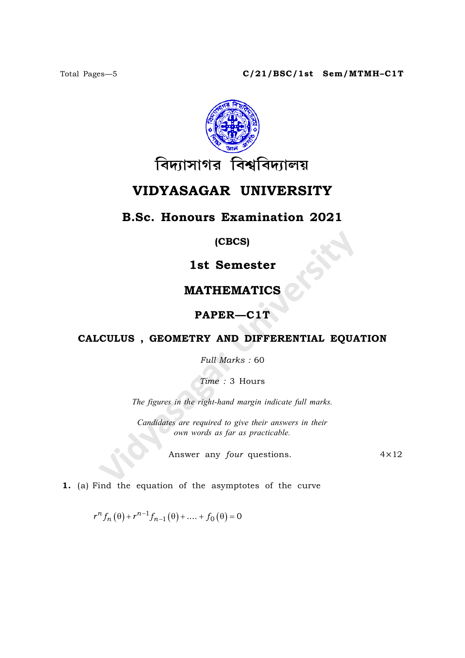

# VIDYASAGAR UNIVERSITY

# B.Sc. Honours Examination 2021

(CBCS)

1st Semester

### MATHEMATICS

## PAPER—C1T

#### CALCULUS , GEOMETRY AND DIFFERENTIAL EQUATION

Full Marks : 60

Time : 3 Hours

The figures in the right-hand margin indicate full marks.

Candidates are required to give their answers in their own words as far as practicable.

Answer any *four* questions. 4×12

1. (a) Find the equation of the asymptotes of the curve

 $r^{n} f_{n}(\theta) + r^{n-1} f_{n-1}(\theta) + \dots + f_{0}(\theta) = 0$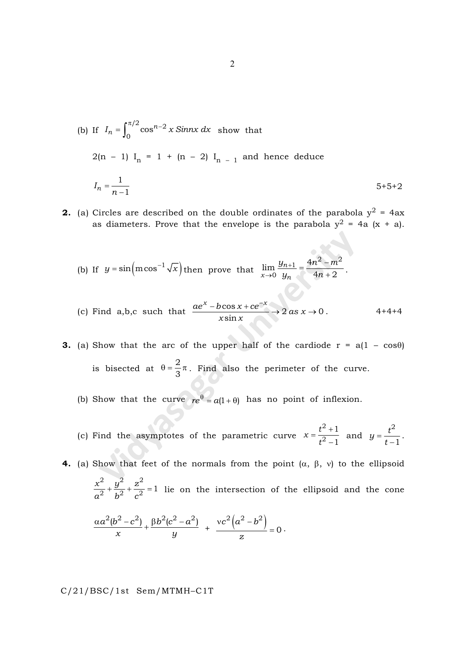- (b) If  $I_n = \int_0^{\pi/2} \cos^{n-2} x \sin nx \, dx$  $=\int_0^{\pi/2} \cos^{n-2} x \sin nx \, dx$  show that  $2(n - 1) I_n = 1 + (n - 2) I_{n - 1}$  and hence deduce  $I_n$ n 1 1 = - $5+5+2$
- **2.** (a) Circles are described on the double ordinates of the parabola  $y^2 = 4ax$ as diameters. Prove that the envelope is the parabola  $y^2 = 4a (x + a)$ .
	- (b) If  $y = \sin(m\cos^{-1}\sqrt{x})$  then prove that  $\lim_{x\to 0} \frac{y_n}{y_n}$  $x\rightarrow 0$   $y_n$  $y_{n+1}$  4n<sup>2</sup> – m  $y_n$  4n  $\frac{1}{2} - \frac{4n^2 - m^2}{n}$  $\theta$  $\lim \frac{y_{n+1}}{y_n} = \frac{4}{3}$  $4n + 2$  $^{+}$  $\rightarrow$  $=\frac{4n^2-1}{2}$  $\frac{1}{+2}$ .
	- (c) Find a,b,c such that  $\frac{ae^x b\cos x + ce^{-x}}{b} \rightarrow 2$  as x  $x \sin x$  $\frac{\cos x + ce^{-x}}{1} \to 2 \text{ as } x \to 0$ sin  $\frac{-b\cos x + ce^{-x}}{1}$   $\rightarrow$  2 as  $x \rightarrow 0$ . 4+4+4
- **3.** (a) Show that the arc of the upper half of the cardiode  $r = a(1 \cos\theta)$ is bisected at 2  $\theta = \frac{2}{3}\pi$ . Find also the perimeter of the curve.
	- (b) Show that the curve  $re^{\theta} = a(1 + \theta)$  has no point of inflexion.
	- (c) Find the asymptotes of the parametric curve  $x = \frac{t}{t}$ t 2 2 1 1  $=\frac{t^2}{2}$  $\frac{+1}{-1}$  and  $y = \frac{t}{t}$ t 2 1  $=$  $\frac{1}{-1}$ .
- **4.** (a) Show that feet of the normals from the point  $(\alpha, \beta, \nu)$  to the ellipsoid  $x^2$   $y^2$  z  $a^2$   $b^2$  c 2  $\sqrt{2}$   $\sqrt{2}$  $\frac{2}{2} + \frac{9}{2} + \frac{2}{3} = 1$  lie on the intersection of the ellipsoid and the cone  $a^2(b^2-c^2)$   $\beta b^2(c^2-a)$  $x$  y  $\frac{\alpha a^2(b^2-c^2)}{x} + \frac{\beta b^2(c^2-a^2)}{x} + \frac{\nu c^2(a^2-b^2)}{x}$ z  $2 \binom{2}{7}$   $k^2$ 0  $vc^2|a^2 = 0.$

C/21/BSC/1st Sem/MTMH–C1T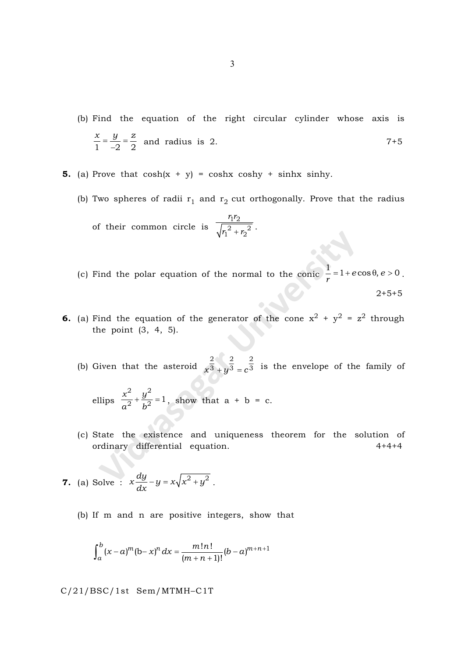- (b) Find the equation of the right circular cylinder whose axis is  $x \quad y \quad z$  $1 -2 2$  $=\frac{9}{2}$  =  $\frac{3}{-2} = \frac{1}{2}$  and radius is 2. 7+5
- **5.** (a) Prove that  $cosh(x + y) = coshx coshy + sinh x sinh y$ .
	- (b) Two spheres of radii  $\mathsf{r}_1$  and  $\mathsf{r}_2$  cut orthogonally. Prove that the radius

of their common circle is  $r_1r_2$  $r_1^2 + r_2$  $^{11}2$  $r_1^2 + r_2^2$ .

(c) Find the polar equation of the normal to the conic  $\frac{1}{r} = 1 + e \cos \theta$ , e  $\frac{1}{a} = 1 + e \cos \theta, e > 0$ . 2+5+5

- **6.** (a) Find the equation of the generator of the cone  $x^2 + y^2 = z^2$  through the point (3, 4, 5).
	- (b) Given that the asteroid  $x^3 + y^3 = c^2$ 2 2 2  $\overline{3}$   $+$   $y$  $\overline{3}$   $=$   $c$  $\overline{3}$  is the envelope of the family of

ellips 
$$
\frac{x^2}{a^2} + \frac{y^2}{b^2} = 1
$$
, show that  $a + b = c$ .

(c) State the existence and uniqueness theorem for the solution of ordinary differential equation. 4+4+4

7. (a) Solve : 
$$
x \frac{dy}{dx} - y = x\sqrt{x^2 + y^2}
$$
.

(b) If m and n are positive integers, show that

$$
\int_{a}^{b} (x-a)^{m} (b-x)^{n} dx = \frac{m!n!}{(m+n+1)!} (b-a)^{m+n+1}
$$

C/21/BSC/1st Sem/MTMH–C1T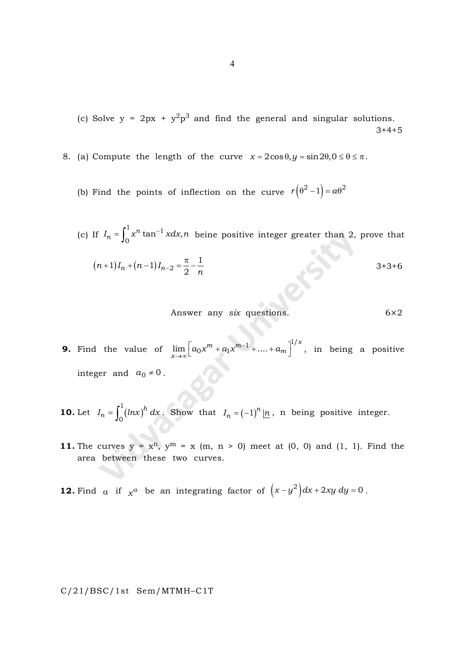(c) Solve  $y = 2px + y^2p^3$  and find the general and singular solutions.  $3+4+5$ 

- 8. (a) Compute the length of the curve  $x = 2\cos\theta, y = \sin 2\theta, 0 \le \theta \le \pi$ .
	- (b) Find the points of inflection on the curve  $r(\theta^2 1) = a\theta^2$
	- (c) If  $I_n = \int_0^1 x^n \tan^{-1} x dx, n$  $=\int_0^1 x^n \tan^{-1} x dx$ , *n* beine positive integer greater than 2, prove that  $(n+1)I_n + (n-1)I_{n-2} = \frac{\pi}{2} - \frac{1}{n}$  $1)I_n + (n-1)I_{n-2} = \frac{\pi}{2} - \frac{1}{2}$  $-2 = \frac{1}{2}$  $(x+1)I_n + (n-1)I_{n-2} = \frac{\pi}{2} - \frac{1}{n}$  3+3+6

Answer any 
$$
six
$$
 questions.  $6 \times 2$ 

- **9.** Find the value of  $\lim_{x \to \infty} \left[ a_0 x^m + a_1 x^{m-1} + ... + a_m \right]^{1/x}$  $\lim_{x\to\infty}\Big[a_0x^m+a_1x^{m-1}+....+a_m\Big]^{1/x}$ , in being a positive integer and  $a_0 \neq 0$  .
- **10.** Let  $I_n = \int_0^1 (lnx)^h dx$  $I_n = \int_0^1 (lnx)^h dx$ 0  $=\int_0^1 (lnx)^h dx$ . Show that  $I_n = (-1)^n$  $I_n = (-1)^n \ln n$ , n being positive integer.
- 11. The curves  $y = x^n$ ,  $y^m = x$  (m, n > 0) meet at (0, 0) and (1, 1). Find the area between these two curves.

**12.** Find  $\alpha$  if  $x^{\alpha}$  be an integrating factor of  $(x-y^2)dx + 2xy dy = 0$ .

C/21/BSC/1st Sem/MTMH–C1T